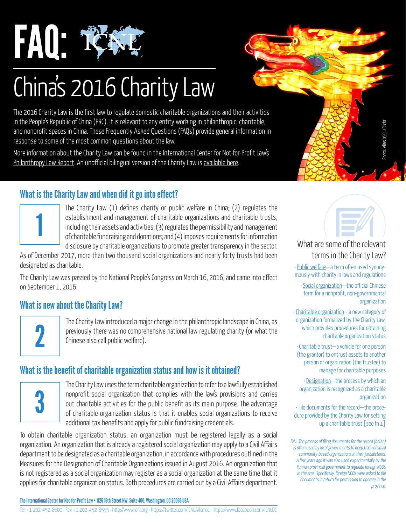

# China's 2016 Charity Law

The 2016 Charity Law is the first law to regulate domestic charitable organizations and their activities in the People's Republic of China (PRC). It is relevant to any entity working in philanthropic, charitable, and nonprofit spaces in China. These Frequently Asked Questions (FAQs) provide general information in response to some of the most common questions about the law.

More information about the Charity Law can be found in the International Center for Not-for-Profit Law's [Philanthropy Law Report.](http://www.icnl.org/research/philanthropy/china.html) An unofficial bilingual version of the Charity Law is [available here.](http://www.icnl.org/research/library/files/China/1_ChinaCharity2016.pdf)

# What is the Charity Law and when did it go into effect?



The Charity Law (1) defines charity or public welfare in China; (2) regulates the establishment and management of charitable organizations and charitable trusts, including their assets and activities; (3) regulates the permissibility and management of charitable fundraising and donations; and (4) imposes requirements for information disclosure by charitable organizations to promote greater transparency in the sector.

As of December 2017, more than two thousand social organizations and nearly forty trusts had been designated as charitable.

The Charity Law was passed by the National People's Congress on March 16, 2016, and came into effect on September 1, 2016.

#### What is new about the Charity Law?

2

The Charity Law introduced a major change in the philanthropic landscape in China, as previously there was no comprehensive national law regulating charity (or what the Chinese also call public welfare).

# What is the benefit of charitable organization status and how is it obtained?



The Charity Law uses the term charitable organization to refer to a lawfully established nonprofit social organization that complies with the law's provisions and carries out charitable activities for the public benefit as its main purpose. The advantage of charitable organization status is that it enables social organizations to receive additional tax benefits and apply for public fundraising credentials.

To obtain charitable organization status, an organization must be registered legally as a social organization. An organization that is already a registered social organization may apply to a Civil Affairs department to be designated as a charitable organization, in accordance with procedures outlined in the Measures for the Designation of Charitable Organizations issued in August 2016. An organization that is not registered as a social organization may register as a social organization at the same time that it applies for charitable organization status. Both procedures are carried out by a Civil Affairs department.

The International Center for Not-for-Profit Law • 1126 16th Street NW, Suite 400, Washington, DC 20036 USA



#### What are some of the relevant terms in the Charity Law?

• Public welfare—a term often used synonymously with charity in laws and regulations

• Social organization—the official Chinese term for a nonprofit, non-governmental organization

• Charitable organization—a new category of organization formalized by the Charity Law, which provides procedures for obtaining charitable organization status

• Charitable trust—a vehicle for one person (the grantor) to entrust assets to another person or organization (the trustee) to manage for charitable purposes

• Designation—the process by which an organization is recognized as a charitable organization

• File documents for the record—the procedure provided by the Charity Law for setting up a charitable trust [see fn 1]

FN1. The process of filing documents for the record (bei'an) is often used by local governments to keep track of small community-based organizations in their jurisdictions. A few years ago it was also used experimentally by the Yunnan provincial government to regulate foreign NGOs in the area. Specifically, foreign NGOs were asked to file documents in return for permission to operate in the province.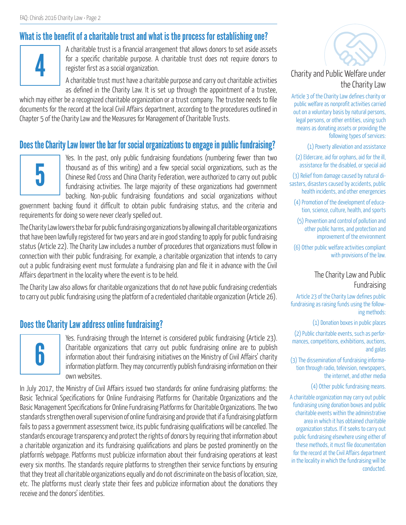# What is the benefit of a charitable trust and what is the process for establishing one?



A charitable trust is a financial arrangement that allows donors to set aside assets for a specific charitable purpose. A charitable trust does not require donors to register first as a social organization.

A charitable trust must have a charitable purpose and carry out charitable activities as defined in the Charity Law. It is set up through the appointment of a trustee,

which may either be a recognized charitable organization or a trust company. The trustee needs to file documents for the record at the local Civil Affairs department, according to the procedures outlined in Chapter 5 of the Charity Law and the Measures for Management of Charitable Trusts.

#### Does the Charity Law lower the bar for social organizations to engage in public fundraising?



Yes. In the past, only public fundraising foundations (numbering fewer than two thousand as of this writing) and a few special social organizations, such as the Chinese Red Cross and China Charity Federation, were authorized to carry out public fundraising activities. The large majority of these organizations had government backing. Non-public fundraising foundations and social organizations without

government backing found it difficult to obtain public fundraising status, and the criteria and requirements for doing so were never clearly spelled out.

The Charity Law lowers the bar for public fundraising organizations by allowing all charitable organizations that have been lawfully registered for two years and are in good standing to apply for public fundraising status (Article 22). The Charity Law includes a number of procedures that organizations must follow in connection with their public fundraising. For example, a charitable organization that intends to carry out a public fundraising event must formulate a fundraising plan and file it in advance with the Civil Affairs department in the locality where the event is to be held.

The Charity Law also allows for charitable organizations that do not have public fundraising credentials to carry out public fundraising using the platform of a credentialed charitable organization (Article 26).

#### Does the Charity Law address online fundraising?



Yes. Fundraising through the Internet is considered public fundraising (Article 23). Charitable organizations that carry out public fundraising online are to publish information about their fundraising initiatives on the Ministry of Civil Affairs' charity information platform. They may concurrently publish fundraising information on their own websites.

In July 2017, the Ministry of Civil Affairs issued two standards for online fundraising platforms: the Basic Technical Specifications for Online Fundraising Platforms for Charitable Organizations and the Basic Management Specifications for Online Fundraising Platforms for Charitable Organizations. The two standards strengthen overall supervision of online fundraising and provide that if a fundraising platform fails to pass a government assessment twice, its public fundraising qualifications will be cancelled. The standards encourage transparency and protect the rights of donors by requiring that information about a charitable organization and its fundraising qualifications and plans be posted prominently on the platform's webpage. Platforms must publicize information about their fundraising operations at least every six months. The standards require platforms to strengthen their service functions by ensuring that they treat all charitable organizations equally and do not discriminate on the basis of location, size, etc. The platforms must clearly state their fees and publicize information about the donations they receive and the donors' identities.



#### Charity and Public Welfare under the Charity Law

Article 3 of the Charity Law defines charity or public welfare as nonprofit activities carried out on a voluntary basis by natural persons, legal persons, or other entities, using such means as donating assets or providing the following types of services:

(1) Poverty alleviation and assistance

(2) Eldercare, aid for orphans, aid for the ill, assistance for the disabled, or special aid

(3) Relief from damage caused by natural disasters, disasters caused by accidents, public health incidents, and other emergencies

(4) Promotion of the development of education, science, culture, health, and sports

(5) Prevention and control of pollution and other public harms, and protection and improvement of the environment

(6) Other public welfare activities compliant with provisions of the law.

#### The Charity Law and Public Fundraising

Article 23 of the Charity Law defines public fundraising as raising funds using the following methods:

(1) Donation boxes in public places

(2) Public charitable events, such as performances, competitions, exhibitions, auctions, and galas

(3) The dissemination of fundraising information through radio, television, newspapers, the internet, and other media

(4) Other public fundraising means.

A charitable organization may carry out public fundraising using donation boxes and public charitable events within the administrative area in which it has obtained charitable organization status. If it seeks to carry out public fundraising elsewhere using either of these methods, it must file documentation for the record at the Civil Affairs department in the locality in which the fundraising will be conducted.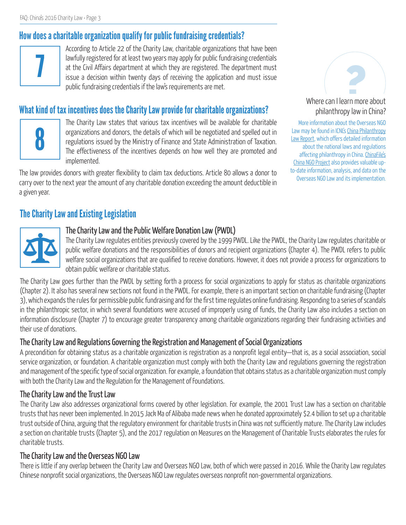# How does a charitable organization qualify for public fundraising credentials?



According to Article 22 of the Charity Law, charitable organizations that have been lawfully registered for at least two years may apply for public fundraising credentials at the Civil Affairs department at which they are registered. The department must issue a decision within twenty days of receiving the application and must issue public fundraising credentials if the law's requirements are met.

# What kind of tax incentives does the Charity Law provide for charitable organizations?



The Charity Law states that various tax incentives will be available for charitable organizations and donors, the details of which will be negotiated and spelled out in regulations issued by the Ministry of Finance and State Administration of Taxation. The effectiveness of the incentives depends on how well they are promoted and implemented.

The law provides donors with greater flexibility to claim tax deductions. Article 80 allows a donor to carry over to the next year the amount of any charitable donation exceeding the amount deductible in a given year.

# ? Where can I learn more about

philanthropy law in China? More information about the Overseas NGO

Law may be found in ICNL's [China Philanthropy](http://www.icnl.org/research/philanthropy/china.html) [Law Report](http://www.icnl.org/research/philanthropy/china.html), which offers detailed information about the national laws and regulations affecting philanthropy in China. [ChinaFile's](http://www.chinafile.com/ngo) [China NGO Project](http://www.chinafile.com/ngo) also provides valuable upto-date information, analysis, and data on the Overseas NGO Law and its implementation.

# The Charity Law and Existing Legislation



#### The Charity Law and the Public Welfare Donation Law (PWDL)

The Charity Law regulates entities previously covered by the 1999 PWDL. Like the PWDL, the Charity Law regulates charitable or public welfare donations and the responsibilities of donors and recipient organizations (Chapter 4). The PWDL refers to public welfare social organizations that are qualified to receive donations. However, it does not provide a process for organizations to obtain public welfare or charitable status.

The Charity Law goes further than the PWDL by setting forth a process for social organizations to apply for status as charitable organizations (Chapter 2). It also has several new sections not found in the PWDL. For example, there is an important section on charitable fundraising (Chapter 3), which expands the rules for permissible public fundraising and for the first time regulates online fundraising. Responding to a series of scandals in the philanthropic sector, in which several foundations were accused of improperly using of funds, the Charity Law also includes a section on information disclosure (Chapter 7) to encourage greater transparency among charitable organizations regarding their fundraising activities and their use of donations.

#### The Charity Law and Regulations Governing the Registration and Management of Social Organizations

A precondition for obtaining status as a charitable organization is registration as a nonprofit legal entity—that is, as a social association, social service organization, or foundation. A charitable organization must comply with both the Charity Law and regulations governing the registration and management of the specific type of social organization. For example, a foundation that obtains status as a charitable organization must comply with both the Charity Law and the Regulation for the Management of Foundations.

#### The Charity Law and the Trust Law

The Charity Law also addresses organizational forms covered by other legislation. For example, the 2001 Trust Law has a section on charitable trusts that has never been implemented. In 2015 Jack Ma of Alibaba made news when he donated approximately \$2.4 billion to set up a charitable trust outside of China, arguing that the regulatory environment for charitable trusts in China was not sufficiently mature. The Charity Law includes a section on charitable trusts (Chapter 5), and the 2017 regulation on Measures on the Management of Charitable Trusts elaborates the rules for charitable trusts.

#### The Charity Law and the Overseas NGO Law

There is little if any overlap between the Charity Law and Overseas NGO Law, both of which were passed in 2016. While the Charity Law regulates Chinese nonprofit social organizations, the Overseas NGO Law regulates overseas nonprofit non-governmental organizations.